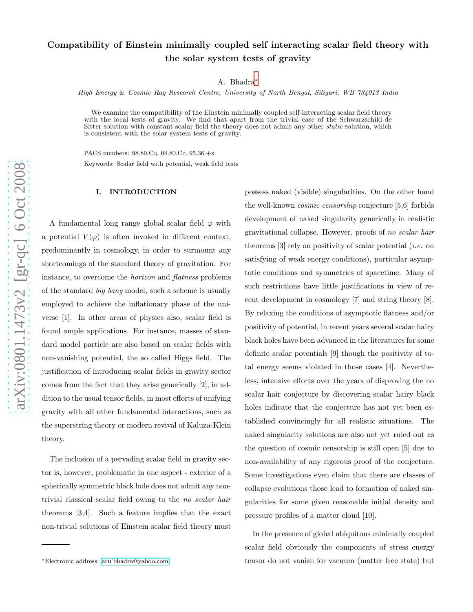# Compatibility of Einstein minimally coupled self interacting scalar field theory with the solar system tests of gravity

A. Bhadra [∗](#page-0-0)

High Energy & Cosmic Ray Research Centre, University of North Bengal, Siliguri, WB 734013 India

We examine the compatibility of the Einstein minimally coupled self-interacting scalar field theory with the local tests of gravity. We find that apart from the trivial case of the Schwarzschild-de Sitter solution with constant scalar field the theory does not admit any other *static* solution, which is consistent with the solar system tests of gravity.

PACS numbers: 98.80.Cq, 04.80.Cc, 95.36.+x Keywords: Scalar field with potential, weak field tests

### I. INTRODUCTION

A fundamental long range global scalar field  $\varphi$  with a potential  $V(\varphi)$  is often invoked in different context, predominantly in cosmology, in order to surmount any shortcomings of the standard theory of gravitation. For instance, to overcome the horizon and flatness problems of the standard big bang model, such a scheme is usually employed to achieve the inflationary phase of the universe [1]. In other areas of physics also, scalar field is found ample applications. For instance, masses of standard model particle are also based on scalar fields with non-vanishing potential, the so called Higgs field. The justification of introducing scalar fields in gravity sector comes from the fact that they arise generically [2], in addition to the usual tensor fields, in most efforts of unifying gravity with all other fundamental interactions, such as the superstring theory or modern revival of Kaluza-Klein theory.

The inclusion of a pervading scalar field in gravity sector is, however, problematic in one aspect - exterior of a spherically symmetric black hole does not admit any nontrivial classical scalar field owing to the no scalar hair theorems [3,4]. Such a feature implies that the exact non-trivial solutions of Einstein scalar field theory must

possess naked (visible) singularities. On the other hand the well-known cosmic censorship conjecture [5,6] forbids development of naked singularity generically in realistic gravitational collapse. However, proofs of no scalar hair theorems  $[3]$  rely on positivity of scalar potential (*i.e.* on satisfying of weak energy conditions), particular asymptotic conditions and symmetries of spacetime. Many of such restrictions have little justifications in view of recent development in cosmology [7] and string theory [8]. By relaxing the conditions of asymptotic flatness and/or positivity of potential, in recent years several scalar hairy black holes have been advanced in the literatures for some definite scalar potentials [9] though the positivity of total energy seems violated in those cases [4]. Nevertheless, intensive efforts over the years of disproving the no scalar hair conjecture by discovering scalar hairy black holes indicate that the conjecture has not yet been established convincingly for all realistic situations. The naked singularity solutions are also not yet ruled out as the question of cosmic censorship is still open [5] due to non-availability of any rigorous proof of the conjecture. Some investigations even claim that there are classes of collapse evolutions those lead to formation of naked singularities for some given reasonable initial density and pressure profiles of a matter cloud [10].

In the presence of global ubiquitous minimally coupled scalar field obviously the components of stress energy tensor do not vanish for vacuum (matter free state) but

<span id="page-0-0"></span><sup>∗</sup>Electronic address: [aru˙bhadra@yahoo.com](mailto:aru_bhadra@yahoo.com)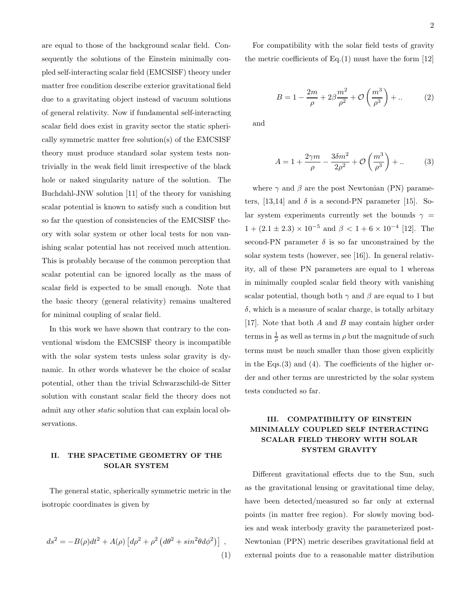are equal to those of the background scalar field. Consequently the solutions of the Einstein minimally coupled self-interacting scalar field (EMCSISF) theory under matter free condition describe exterior gravitational field due to a gravitating object instead of vacuum solutions of general relativity. Now if fundamental self-interacting scalar field does exist in gravity sector the static spherically symmetric matter free solution(s) of the EMCSISF theory must produce standard solar system tests nontrivially in the weak field limit irrespective of the black hole or naked singularity nature of the solution. The Buchdahl-JNW solution [11] of the theory for vanishing scalar potential is known to satisfy such a condition but so far the question of consistencies of the EMCSISF theory with solar system or other local tests for non vanishing scalar potential has not received much attention. This is probably because of the common perception that scalar potential can be ignored locally as the mass of scalar field is expected to be small enough. Note that the basic theory (general relativity) remains unaltered

In this work we have shown that contrary to the conventional wisdom the EMCSISF theory is incompatible with the solar system tests unless solar gravity is dynamic. In other words whatever be the choice of scalar potential, other than the trivial Schwarzschild-de Sitter solution with constant scalar field the theory does not admit any other static solution that can explain local observations.

for minimal coupling of scalar field.

### II. THE SPACETIME GEOMETRY OF THE SOLAR SYSTEM

The general static, spherically symmetric metric in the isotropic coordinates is given by

$$
ds^{2} = -B(\rho)dt^{2} + A(\rho)\left[d\rho^{2} + \rho^{2}\left(d\theta^{2} + \sin^{2}\theta d\phi^{2}\right)\right],
$$
\n(1)

For compatibility with the solar field tests of gravity the metric coefficients of  $Eq.(1)$  must have the form  $[12]$ 

$$
B = 1 - \frac{2m}{\rho} + 2\beta \frac{m^2}{\rho^2} + \mathcal{O}\left(\frac{m^3}{\rho^3}\right) + \dots
$$
 (2)

and

$$
A = 1 + \frac{2\gamma m}{\rho} - \frac{3\delta m^2}{2\rho^2} + \mathcal{O}\left(\frac{m^3}{\rho^3}\right) + \dots \tag{3}
$$

where  $\gamma$  and  $\beta$  are the post Newtonian (PN) parameters, [13,14] and  $\delta$  is a second-PN parameter [15]. Solar system experiments currently set the bounds  $\gamma =$  $1 + (2.1 \pm 2.3) \times 10^{-5}$  and  $\beta < 1 + 6 \times 10^{-4}$  [12]. The second-PN parameter  $\delta$  is so far unconstrained by the solar system tests (however, see [16]). In general relativity, all of these PN parameters are equal to 1 whereas in minimally coupled scalar field theory with vanishing scalar potential, though both  $\gamma$  and  $\beta$  are equal to 1 but  $\delta$ , which is a measure of scalar charge, is totally arbitary [17]. Note that both A and B may contain higher order terms in  $\frac{1}{\rho}$  as well as terms in  $\rho$  but the magnitude of such terms must be much smaller than those given explicitly in the Eqs.(3) and (4). The coefficients of the higher order and other terms are unrestricted by the solar system tests conducted so far.

## III. COMPATIBILITY OF EINSTEIN MINIMALLY COUPLED SELF INTERACTING SCALAR FIELD THEORY WITH SOLAR SYSTEM GRAVITY

Different gravitational effects due to the Sun, such as the gravitational lensing or gravitational time delay, have been detected/measured so far only at external points (in matter free region). For slowly moving bodies and weak interbody gravity the parameterized post-Newtonian (PPN) metric describes gravitational field at external points due to a reasonable matter distribution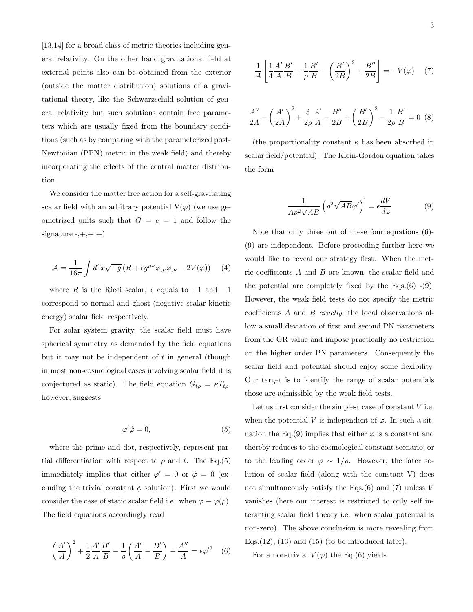[13,14] for a broad class of metric theories including general relativity. On the other hand gravitational field at external points also can be obtained from the exterior (outside the matter distribution) solutions of a gravitational theory, like the Schwarzschild solution of general relativity but such solutions contain free parameters which are usually fixed from the boundary conditions (such as by comparing with the parameterized post-Newtonian (PPN) metric in the weak field) and thereby incorporating the effects of the central matter distribution.

We consider the matter free action for a self-gravitating scalar field with an arbitrary potential  $V(\varphi)$  (we use geometrized units such that  $G = c = 1$  and follow the signature  $-,+,+,+)$ 

$$
\mathcal{A} = \frac{1}{16\pi} \int d^4x \sqrt{-g} \left( R + \epsilon g^{\mu\nu} \varphi_{,\mu} \varphi_{,\nu} - 2V(\varphi) \right) \tag{4}
$$

where R is the Ricci scalar,  $\epsilon$  equals to +1 and -1 correspond to normal and ghost (negative scalar kinetic energy) scalar field respectively.

For solar system gravity, the scalar field must have spherical symmetry as demanded by the field equations but it may not be independent of  $t$  in general (though in most non-cosmological cases involving scalar field it is conjectured as static). The field equation  $G_{t\rho} = \kappa T_{t\rho}$ , however, suggests

$$
\varphi' \dot{\varphi} = 0,\tag{5}
$$

where the prime and dot, respectively, represent partial differentiation with respect to  $\rho$  and t. The Eq.(5) immediately implies that either  $\varphi' = 0$  or  $\dot{\varphi} = 0$  (excluding the trivial constant  $\phi$  solution). First we would consider the case of static scalar field i.e. when  $\varphi \equiv \varphi(\rho)$ . The field equations accordingly read

$$
\left(\frac{A'}{A}\right)^2 + \frac{1}{2}\frac{A'}{A}\frac{B'}{B} - \frac{1}{\rho}\left(\frac{A'}{A} - \frac{B'}{B}\right) - \frac{A''}{A} = \epsilon \varphi'^2 \quad (6)
$$

$$
\frac{1}{A} \left[ \frac{1}{4} \frac{A'}{A} \frac{B'}{B} + \frac{1}{\rho} \frac{B'}{B} - \left( \frac{B'}{2B} \right)^2 + \frac{B''}{2B} \right] = -V(\varphi) \quad (7)
$$

$$
\frac{A''}{2A} - \left(\frac{A'}{2A}\right)^2 + \frac{3}{2\rho}\frac{A'}{A} - \frac{B''}{2B} + \left(\frac{B'}{2B}\right)^2 - \frac{1}{2\rho}\frac{B'}{B} = 0
$$
 (8)

(the proportionality constant  $\kappa$  has been absorbed in scalar field/potential). The Klein-Gordon equation takes the form

$$
\frac{1}{A\rho^2\sqrt{AB}}\left(\rho^2\sqrt{AB}\varphi'\right)' = \epsilon \frac{dV}{d\varphi} \tag{9}
$$

Note that only three out of these four equations (6)- (9) are independent. Before proceeding further here we would like to reveal our strategy first. When the metric coefficients A and B are known, the scalar field and the potential are completely fixed by the Eqs. $(6)$  - $(9)$ . However, the weak field tests do not specify the metric coefficients A and B exactly; the local observations allow a small deviation of first and second PN parameters from the GR value and impose practically no restriction on the higher order PN parameters. Consequently the scalar field and potential should enjoy some flexibility. Our target is to identify the range of scalar potentials those are admissible by the weak field tests.

Let us first consider the simplest case of constant  $V$  i.e. when the potential V is independent of  $\varphi$ . In such a situation the Eq.(9) implies that either  $\varphi$  is a constant and thereby reduces to the cosmological constant scenario, or to the leading order  $\varphi \sim 1/\rho$ . However, the later solution of scalar field (along with the constant V) does not simultaneously satisfy the Eqs. $(6)$  and  $(7)$  unless V vanishes (here our interest is restricted to only self interacting scalar field theory i.e. when scalar potential is non-zero). The above conclusion is more revealing from Eqs.  $(12)$ ,  $(13)$  and  $(15)$  (to be introduced later).

For a non-trivial  $V(\varphi)$  the Eq.(6) yields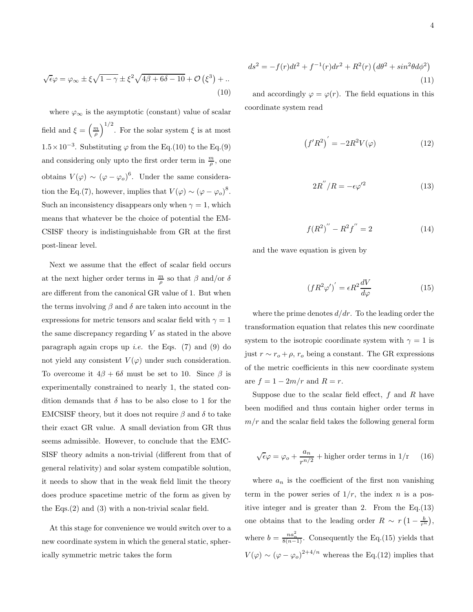$$
\sqrt{\epsilon}\varphi = \varphi_{\infty} \pm \xi \sqrt{1-\gamma} \pm \xi^2 \sqrt{4\beta + 6\delta - 10} + \mathcal{O}(\xi^3) + \dots
$$
\n(10)

where  $\varphi_{\infty}$  is the asymptotic (constant) value of scalar field and  $\xi = \left(\frac{m}{\rho}\right)^{1/2}$ . For the solar system  $\xi$  is at most 1.5×10<sup>-3</sup>. Substituting  $\varphi$  from the Eq.(10) to the Eq.(9) and considering only upto the first order term in  $\frac{m}{\rho}$ , one obtains  $V(\varphi) \sim (\varphi - \varphi_o)^6$ . Under the same consideration the Eq.(7), however, implies that  $V(\varphi) \sim (\varphi - \varphi_o)^8$ . Such an inconsistency disappears only when  $\gamma = 1$ , which means that whatever be the choice of potential the EM-CSISF theory is indistinguishable from GR at the first post-linear level.

Next we assume that the effect of scalar field occurs at the next higher order terms in  $\frac{m}{\rho}$  so that  $\beta$  and/or  $\delta$ are different from the canonical GR value of 1. But when the terms involving  $\beta$  and  $\delta$  are taken into account in the expressions for metric tensors and scalar field with  $\gamma = 1$ the same discrepancy regarding  $V$  as stated in the above paragraph again crops up *i.e.* the Eqs.  $(7)$  and  $(9)$  do not yield any consistent  $V(\varphi)$  under such consideration. To overcome it  $4\beta + 6\delta$  must be set to 10. Since  $\beta$  is experimentally constrained to nearly 1, the stated condition demands that  $\delta$  has to be also close to 1 for the EMCSISF theory, but it does not require  $\beta$  and  $\delta$  to take their exact GR value. A small deviation from GR thus seems admissible. However, to conclude that the EMC-SISF theory admits a non-trivial (different from that of general relativity) and solar system compatible solution, it needs to show that in the weak field limit the theory does produce spacetime metric of the form as given by the Eqs.(2) and (3) with a non-trivial scalar field.

At this stage for convenience we would switch over to a new coordinate system in which the general static, spherically symmetric metric takes the form

$$
ds^{2} = -f(r)dt^{2} + f^{-1}(r)dr^{2} + R^{2}(r)\left(d\theta^{2} + \sin^{2}\theta d\phi^{2}\right)
$$
\n(11)

and accordingly  $\varphi = \varphi(r)$ . The field equations in this coordinate system read

$$
(f'R^2)' = -2R^2V(\varphi)
$$
 (12)

$$
2R^{''}/R = -\epsilon \varphi'^2 \tag{13}
$$

$$
f(R^2)'' - R^2 f'' = 2 \tag{14}
$$

and the wave equation is given by

$$
(fR^2\varphi')' = \epsilon R^2 \frac{dV}{d\varphi} \tag{15}
$$

where the prime denotes  $d/dr$ . To the leading order the transformation equation that relates this new coordinate system to the isotropic coordinate system with  $\gamma = 1$  is just  $r \sim r_o + \rho$ ,  $r_o$  being a constant. The GR expressions of the metric coefficients in this new coordinate system are  $f = 1 - 2m/r$  and  $R = r$ .

Suppose due to the scalar field effect,  $f$  and  $R$  have been modified and thus contain higher order terms in  $m/r$  and the scalar field takes the following general form

$$
\sqrt{\epsilon}\varphi = \varphi_o + \frac{a_n}{r^{n/2}} + \text{higher order terms in } 1/\text{r} \qquad (16)
$$

where  $a_n$  is the coefficient of the first non vanishing term in the power series of  $1/r$ , the index n is a positive integer and is greater than 2. From the Eq.(13) one obtains that to the leading order  $R \sim r \left(1 - \frac{b}{r^n}\right)$ , where  $b = \frac{na_n^2}{8(n-1)}$ . Consequently the Eq.(15) yields that  $V(\varphi) \sim (\varphi - \varphi_o)^{2+4/n}$  whereas the Eq.(12) implies that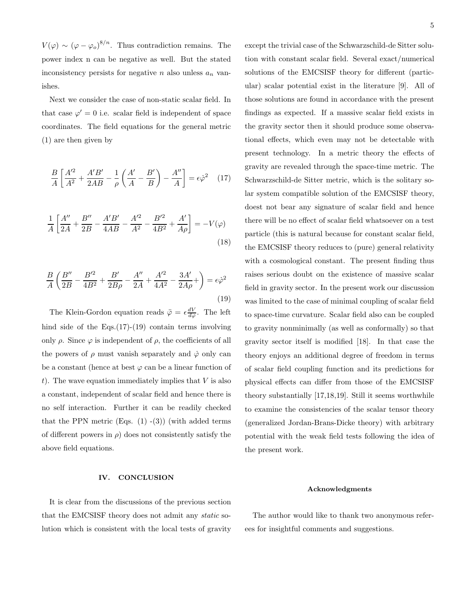$V(\varphi) \sim (\varphi - \varphi_o)^{8/n}$ . Thus contradiction remains. The power index n can be negative as well. But the stated inconsistency persists for negative *n* also unless  $a_n$  vanishes.

Next we consider the case of non-static scalar field. In that case  $\varphi' = 0$  i.e. scalar field is independent of space coordinates. The field equations for the general metric (1) are then given by

$$
\frac{B}{A} \left[ \frac{A'^2}{A^2} + \frac{A'B'}{2AB} - \frac{1}{\rho} \left( \frac{A'}{A} - \frac{B'}{B} \right) - \frac{A''}{A} \right] = \epsilon \dot{\varphi}^2 \quad (17)
$$

$$
\frac{1}{A} \left[ \frac{A''}{2A} + \frac{B''}{2B} - \frac{A'B'}{4AB} - \frac{A'^2}{A^2} - \frac{B'^2}{4B^2} + \frac{A'}{A\rho} \right] = -V(\varphi)
$$
\n(18)

$$
\frac{B}{A} \left( \frac{B''}{2B} - \frac{B'^2}{4B^2} + \frac{B'}{2B\rho} - \frac{A''}{2A} + \frac{A'^2}{4A^2} - \frac{3A'}{2A\rho} + \right) = \epsilon \dot{\varphi}^2
$$
\n(19)

The Klein-Gordon equation reads  $\ddot{\varphi} = \epsilon \frac{dV}{d\varphi}$ . The left hind side of the Eqs.(17)-(19) contain terms involving only  $\rho$ . Since  $\varphi$  is independent of  $\rho$ , the coefficients of all the powers of  $\rho$  must vanish separately and  $\dot{\varphi}$  only can be a constant (hence at best  $\varphi$  can be a linear function of t). The wave equation immediately implies that  $V$  is also a constant, independent of scalar field and hence there is no self interaction. Further it can be readily checked that the PPN metric  $(Eng. (1) - (3))$  (with added terms of different powers in  $\rho$ ) does not consistently satisfy the above field equations.

#### IV. CONCLUSION

It is clear from the discussions of the previous section that the EMCSISF theory does not admit any static solution which is consistent with the local tests of gravity except the trivial case of the Schwarzschild-de Sitter solution with constant scalar field. Several exact/numerical solutions of the EMCSISF theory for different (particular) scalar potential exist in the literature [9]. All of those solutions are found in accordance with the present findings as expected. If a massive scalar field exists in the gravity sector then it should produce some observational effects, which even may not be detectable with present technology. In a metric theory the effects of gravity are revealed through the space-time metric. The Schwarzschild-de Sitter metric, which is the solitary solar system compatible solution of the EMCSISF theory, doest not bear any signature of scalar field and hence there will be no effect of scalar field whatsoever on a test particle (this is natural because for constant scalar field, the EMCSISF theory reduces to (pure) general relativity with a cosmological constant. The present finding thus raises serious doubt on the existence of massive scalar field in gravity sector. In the present work our discussion was limited to the case of minimal coupling of scalar field to space-time curvature. Scalar field also can be coupled to gravity nonminimally (as well as conformally) so that gravity sector itself is modified [18]. In that case the theory enjoys an additional degree of freedom in terms of scalar field coupling function and its predictions for physical effects can differ from those of the EMCSISF theory substantially [17,18,19]. Still it seems worthwhile to examine the consistencies of the scalar tensor theory (generalized Jordan-Brans-Dicke theory) with arbitrary potential with the weak field tests following the idea of the present work.

#### Acknowledgments

The author would like to thank two anonymous referees for insightful comments and suggestions.